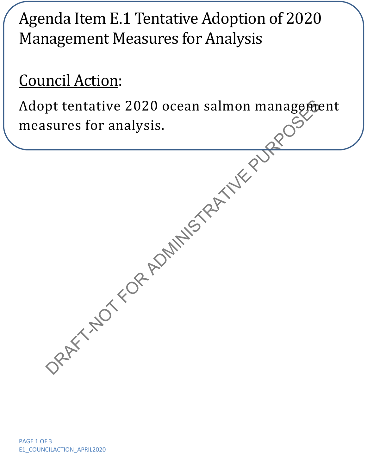## Agenda Item E.1 Tentative Adoption of 2020 Management Measures for Analysis

## Council Action:

Adopt tentative 2020 ocean salmon management<br>measures for analysis.<br>And the purpose of the second tentative purposes of the second tensor of the second tensor of the second tensor of the second tensor of the second tensor measures for analysis.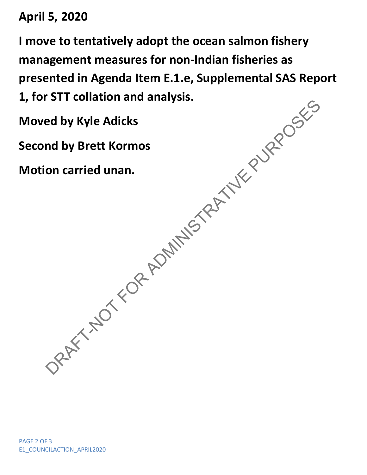**April 5, 2020**

**I move to tentatively adopt the ocean salmon fishery management measures for non-Indian fisheries as presented in Agenda Item E.1.e, Supplemental SAS Report 1, for STT collation and analysis.**

**Moved by Kyle Adicks**

Bed by Kyle Adicks<br>and by Brett Kormos<br>on carried unan.<br>COREY TRATIVE PURPOSES **Second by Brett Kormos**

**Motion carried unan.**